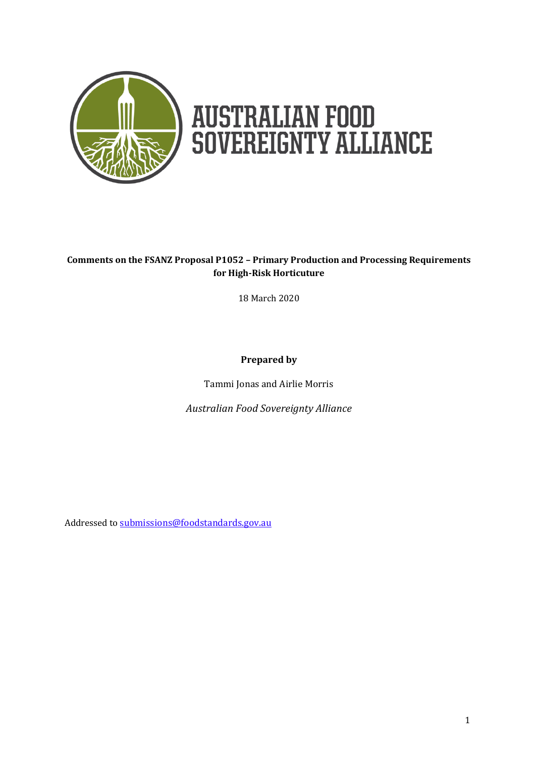

# **AUSTRALIAN FOOD<br>SOVEREIGNTY ALLIANCE**

## **Comments on the FSANZ Proposal P1052 – Primary Production and Processing Requirements for High-Risk Horticuture**

18 March 2020

## **Prepared by**

Tammi Jonas and Airlie Morris

*Australian Food Sovereignty Alliance*

Addressed to [submissions@foodstandards.gov.au](mailto:submissions@foodstandards.gov.au)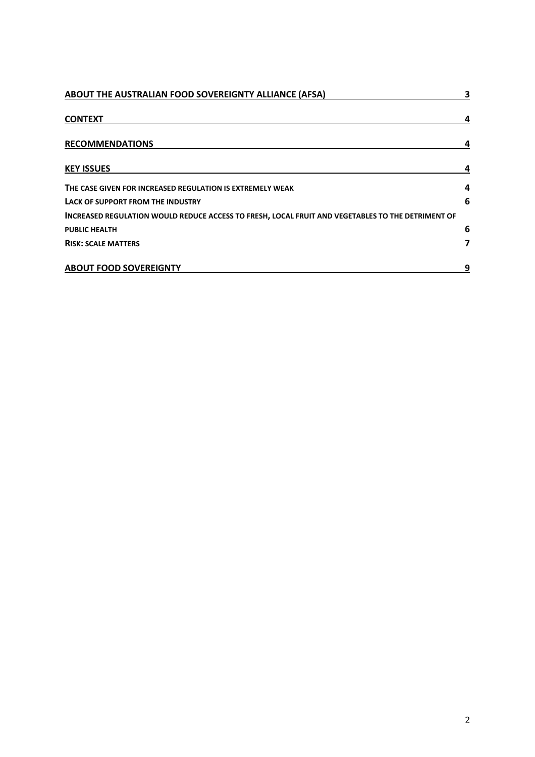| ABOUT THE AUSTRALIAN FOOD SOVEREIGNTY ALLIANCE (AFSA)                                             | 3 |  |
|---------------------------------------------------------------------------------------------------|---|--|
| <b>CONTEXT</b>                                                                                    |   |  |
| <b>RECOMMENDATIONS</b>                                                                            |   |  |
| <b>KEY ISSUES</b>                                                                                 |   |  |
| THE CASE GIVEN FOR INCREASED REGULATION IS EXTREMELY WEAK                                         | 4 |  |
| LACK OF SUPPORT FROM THE INDUSTRY                                                                 | 6 |  |
| INCREASED REGULATION WOULD REDUCE ACCESS TO FRESH, LOCAL FRUIT AND VEGETABLES TO THE DETRIMENT OF |   |  |
| <b>PUBLIC HEALTH</b>                                                                              | 6 |  |
| <b>RISK: SCALE MATTERS</b>                                                                        | 7 |  |
| <b>ABOUT FOOD SOVEREIGNTY</b>                                                                     | 9 |  |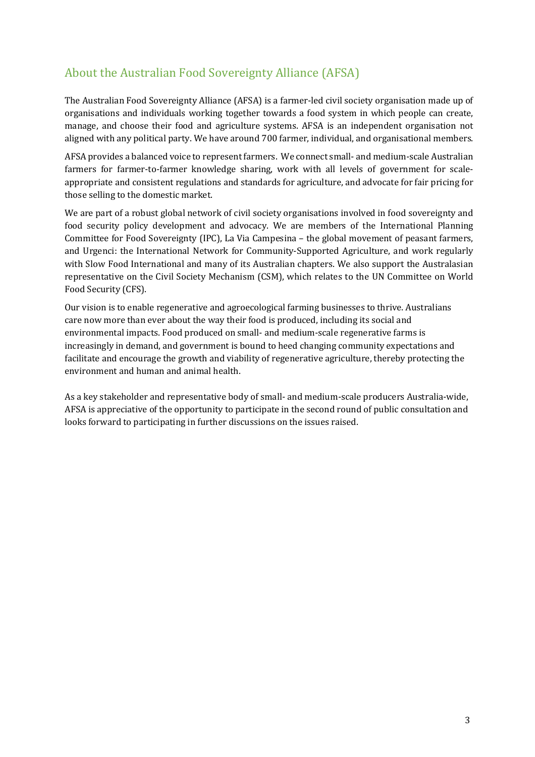# About the Australian Food Sovereignty Alliance (AFSA)

The Australian Food Sovereignty Alliance (AFSA) is a farmer-led civil society organisation made up of organisations and individuals working together towards a food system in which people can create, manage, and choose their food and agriculture systems. AFSA is an independent organisation not aligned with any political party. We have around 700 farmer, individual, and organisational members.

AFSA provides a balanced voice to represent farmers. We connect small- and medium-scale Australian farmers for farmer-to-farmer knowledge sharing, work with all levels of government for scaleappropriate and consistent regulations and standards for agriculture, and advocate for fair pricing for those selling to the domestic market.

We are part of a robust global network of civil society organisations involved in food sovereignty and food security policy development and advocacy. We are members of the International Planning Committee for Food Sovereignty (IPC), La Via Campesina – the global movement of peasant farmers, and Urgenci: the International Network for Community-Supported Agriculture, and work regularly with Slow Food International and many of its Australian chapters. We also support the Australasian representative on the Civil Society Mechanism (CSM), which relates to the UN Committee on World Food Security (CFS).

Our vision is to enable regenerative and agroecological farming businesses to thrive. Australians care now more than ever about the way their food is produced, including its social and environmental impacts. Food produced on small- and medium-scale regenerative farms is increasingly in demand, and government is bound to heed changing community expectations and facilitate and encourage the growth and viability of regenerative agriculture, thereby protecting the environment and human and animal health.

As a key stakeholder and representative body of small- and medium-scale producers Australia-wide, AFSA is appreciative of the opportunity to participate in the second round of public consultation and looks forward to participating in further discussions on the issues raised.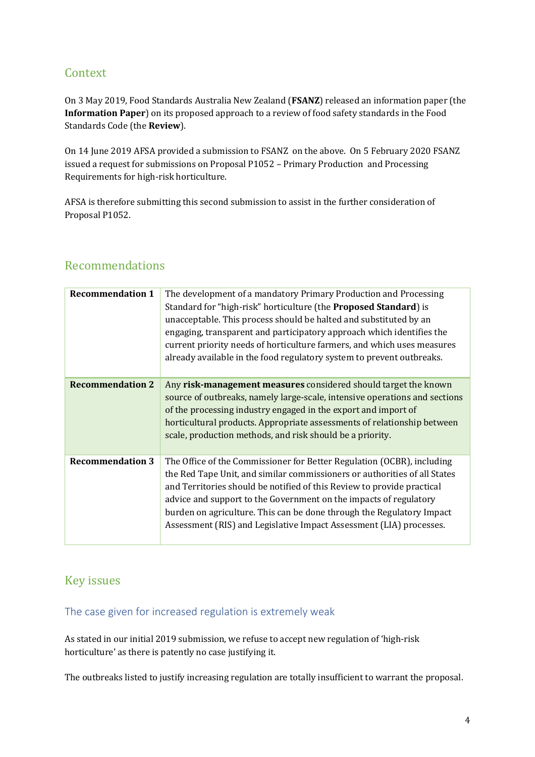# **Context**

On 3 May 2019, Food Standards Australia New Zealand (**FSANZ**) released an information paper (the **Information Paper**) on its proposed approach to a review of food safety standards in the Food Standards Code (the **Review**).

On 14 June 2019 AFSA provided a submission to FSANZ on the above. On 5 February 2020 FSANZ issued a request for submissions on Proposal P1052 – Primary Production and Processing Requirements for high-risk horticulture.

AFSA is therefore submitting this second submission to assist in the further consideration of Proposal P1052.

# Recommendations

| <b>Recommendation 1</b> | The development of a mandatory Primary Production and Processing<br>Standard for "high-risk" horticulture (the <b>Proposed Standard</b> ) is<br>unacceptable. This process should be halted and substituted by an<br>engaging, transparent and participatory approach which identifies the<br>current priority needs of horticulture farmers, and which uses measures<br>already available in the food regulatory system to prevent outbreaks.     |
|-------------------------|----------------------------------------------------------------------------------------------------------------------------------------------------------------------------------------------------------------------------------------------------------------------------------------------------------------------------------------------------------------------------------------------------------------------------------------------------|
| <b>Recommendation 2</b> | Any risk-management measures considered should target the known<br>source of outbreaks, namely large-scale, intensive operations and sections<br>of the processing industry engaged in the export and import of<br>horticultural products. Appropriate assessments of relationship between<br>scale, production methods, and risk should be a priority.                                                                                            |
| <b>Recommendation 3</b> | The Office of the Commissioner for Better Regulation (OCBR), including<br>the Red Tape Unit, and similar commissioners or authorities of all States<br>and Territories should be notified of this Review to provide practical<br>advice and support to the Government on the impacts of regulatory<br>burden on agriculture. This can be done through the Regulatory Impact<br>Assessment (RIS) and Legislative Impact Assessment (LIA) processes. |

# Key issues

The case given for increased regulation is extremely weak

As stated in our initial 2019 submission, we refuse to accept new regulation of 'high-risk horticulture' as there is patently no case justifying it.

The outbreaks listed to justify increasing regulation are totally insufficient to warrant the proposal.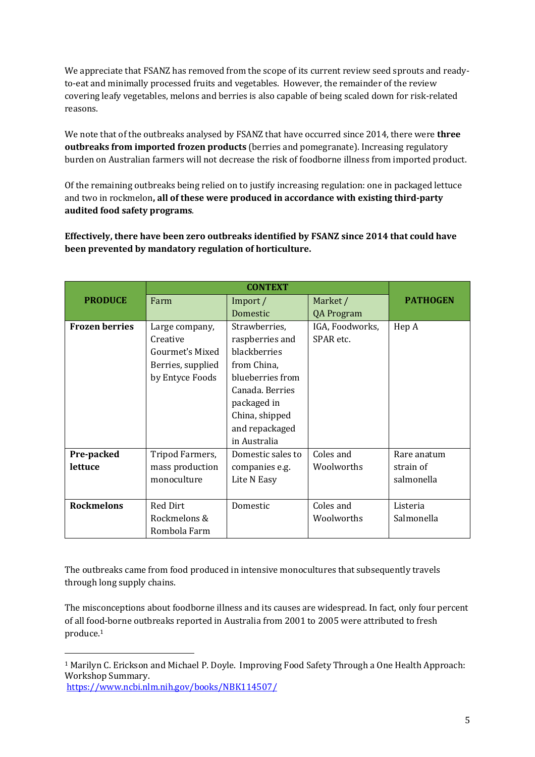We appreciate that FSANZ has removed from the scope of its current review seed sprouts and readyto-eat and minimally processed fruits and vegetables. However, the remainder of the review covering leafy vegetables, melons and berries is also capable of being scaled down for risk-related reasons.

We note that of the outbreaks analysed by FSANZ that have occurred since 2014, there were **three outbreaks from imported frozen products** (berries and pomegranate). Increasing regulatory burden on Australian farmers will not decrease the risk of foodborne illness from imported product.

Of the remaining outbreaks being relied on to justify increasing regulation: one in packaged lettuce and two in rockmelon**, all of these were produced in accordance with existing third-party audited food safety programs**.

**Effectively, there have been zero outbreaks identified by FSANZ since 2014 that could have been prevented by mandatory regulation of horticulture.**

| <b>PRODUCE</b>        | Farm              | Import /          | Market /          | <b>PATHOGEN</b> |
|-----------------------|-------------------|-------------------|-------------------|-----------------|
|                       |                   | Domestic          | <b>QA Program</b> |                 |
| <b>Frozen berries</b> | Large company,    | Strawberries,     | IGA, Foodworks,   | Hep A           |
|                       | Creative          | raspberries and   | SPAR etc.         |                 |
|                       | Gourmet's Mixed   | blackberries      |                   |                 |
|                       | Berries, supplied | from China,       |                   |                 |
|                       | by Entyce Foods   | blueberries from  |                   |                 |
|                       |                   | Canada. Berries   |                   |                 |
|                       |                   | packaged in       |                   |                 |
|                       |                   | China, shipped    |                   |                 |
|                       |                   | and repackaged    |                   |                 |
|                       |                   | in Australia      |                   |                 |
| Pre-packed            | Tripod Farmers,   | Domestic sales to | Coles and         | Rare anatum     |
| lettuce               | mass production   | companies e.g.    | Woolworths        | strain of       |
|                       | monoculture       | Lite N Easy       |                   | salmonella      |
|                       |                   |                   |                   |                 |
| <b>Rockmelons</b>     | <b>Red Dirt</b>   | Domestic          | Coles and         | Listeria        |
|                       | Rockmelons &      |                   | Woolworths        | Salmonella      |
|                       | Rombola Farm      |                   |                   |                 |

The outbreaks came from food produced in intensive monocultures that subsequently travels through long supply chains.

The misconceptions about foodborne illness and its causes are widespread. In fact, only four percent of all food-borne outbreaks reported in Australia from 2001 to 2005 were attributed to fresh produce. 1

<https://www.ncbi.nlm.nih.gov/books/NBK114507/>

<sup>1</sup> Marilyn C. Erickson and Michael P. Doyle. Improving Food Safety Through a One Health Approach: Workshop Summary.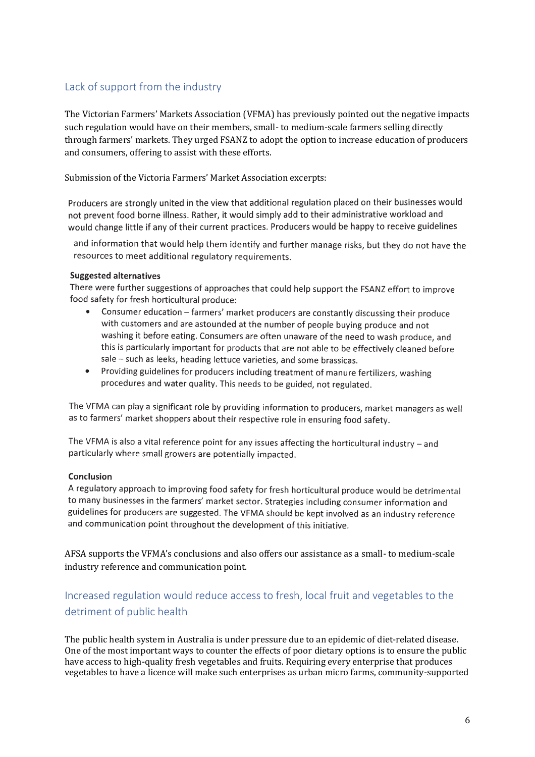## Lack of support from the industry

The Victorian Farmers' Markets Association (VFMA) has previously pointed out the negative impacts such regulation would have on their members, small- to medium-scale farmers selling directly through farmers' markets. They urged FSANZ to adopt the option to increase education of producers and consumers, offering to assist with these efforts.

Submission of the Victoria Farmers' Market Association excerpts:

Producers are strongly united in the view that additional regulation placed on their businesses would not prevent food borne illness. Rather, it would simply add to their administrative workload and would change little if any of their current practices. Producers would be happy to receive guidelines

and information that would help them identify and further manage risks, but they do not have the resources to meet additional regulatory requirements.

#### **Suggested alternatives**

There were further suggestions of approaches that could help support the FSANZ effort to improve food safety for fresh horticultural produce:

- Consumer education farmers' market producers are constantly discussing their produce with customers and are astounded at the number of people buying produce and not washing it before eating. Consumers are often unaware of the need to wash produce, and this is particularly important for products that are not able to be effectively cleaned before sale - such as leeks, heading lettuce varieties, and some brassicas.
- Providing guidelines for producers including treatment of manure fertilizers, washing procedures and water quality. This needs to be guided, not regulated.

The VFMA can play a significant role by providing information to producers, market managers as well as to farmers' market shoppers about their respective role in ensuring food safety.

The VFMA is also a vital reference point for any issues affecting the horticultural industry  $-$  and particularly where small growers are potentially impacted.

#### Conclusion

A regulatory approach to improving food safety for fresh horticultural produce would be detrimental to many businesses in the farmers' market sector. Strategies including consumer information and guidelines for producers are suggested. The VFMA should be kept involved as an industry reference and communication point throughout the development of this initiative.

AFSA supports the VFMA's conclusions and also offers our assistance as a small- to medium-scale industry reference and communication point.

# Increased regulation would reduce access to fresh, local fruit and vegetables to the detriment of public health

The public health system in Australia is under pressure due to an epidemic of diet-related disease. One of the most important ways to counter the effects of poor dietary options is to ensure the public have access to high-quality fresh vegetables and fruits. Requiring every enterprise that produces vegetables to have a licence will make such enterprises as urban micro farms, community-supported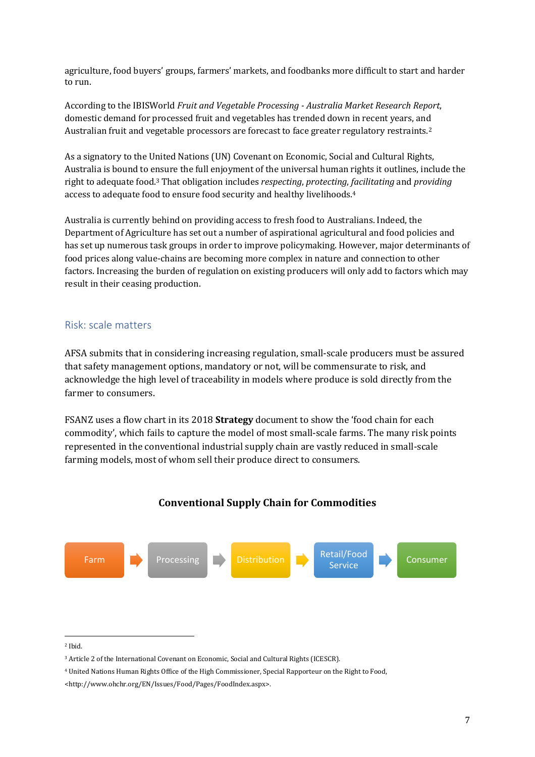agriculture, food buyers' groups, farmers' markets, and foodbanks more difficult to start and harder to run.

According to the IBISWorld *Fruit and Vegetable Processing - Australia Market Research Report*, domestic demand for processed fruit and vegetables has trended down in recent years, and Australian fruit and vegetable processors are forecast to face greater regulatory restraints.<sup>2</sup>

As a signatory to the United Nations (UN) Covenant on Economic, Social and Cultural Rights, Australia is bound to ensure the full enjoyment of the universal human rights it outlines, include the right to adequate food.<sup>3</sup> That obligation includes *respecting*, *protecting*, *facilitating* and *providing* access to adequate food to ensure food security and healthy livelihoods.<sup>4</sup>

Australia is currently behind on providing access to fresh food to Australians. Indeed, the Department of Agriculture has set out a number of aspirational agricultural and food policies and has set up numerous task groups in order to improve policymaking. However, major determinants of food prices along value-chains are becoming more complex in nature and connection to other factors. Increasing the burden of regulation on existing producers will only add to factors which may result in their ceasing production.

## Risk: scale matters

AFSA submits that in considering increasing regulation, small-scale producers must be assured that safety management options, mandatory or not, will be commensurate to risk, and acknowledge the high level of traceability in models where produce is sold directly from the farmer to consumers.

FSANZ uses a flow chart in its 2018 **Strategy** document to show the 'food chain for each commodity', which fails to capture the model of most small-scale farms. The many risk points represented in the conventional industrial supply chain are vastly reduced in small-scale farming models, most of whom sell their produce direct to consumers.

## **Conventional Supply Chain for Commodities**



<sup>2</sup> Ibid.

<sup>3</sup> Article 2 of the International Covenant on Economic, Social and Cultural Rights (ICESCR).

<sup>4</sup> United Nations Human Rights Office of the High Commissioner, Special Rapporteur on the Right to Food,

<sup>&</sup>lt;http://www.ohchr.org/EN/Issues/Food/Pages/FoodIndex.aspx>.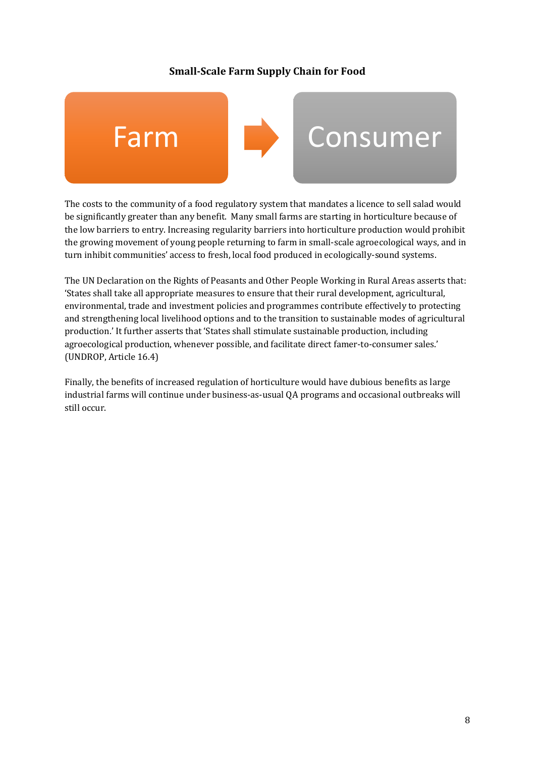## **Small-Scale Farm Supply Chain for Food**



The costs to the community of a food regulatory system that mandates a licence to sell salad would be significantly greater than any benefit. Many small farms are starting in horticulture because of the low barriers to entry. Increasing regularity barriers into horticulture production would prohibit the growing movement of young people returning to farm in small-scale agroecological ways, and in turn inhibit communities' access to fresh, local food produced in ecologically-sound systems.

The UN Declaration on the Rights of Peasants and Other People Working in Rural Areas asserts that: 'States shall take all appropriate measures to ensure that their rural development, agricultural, environmental, trade and investment policies and programmes contribute effectively to protecting and strengthening local livelihood options and to the transition to sustainable modes of agricultural production.' It further asserts that 'States shall stimulate sustainable production, including agroecological production, whenever possible, and facilitate direct famer-to-consumer sales.' (UNDROP, Article 16.4)

Finally, the benefits of increased regulation of horticulture would have dubious benefits as large industrial farms will continue under business-as-usual QA programs and occasional outbreaks will still occur.